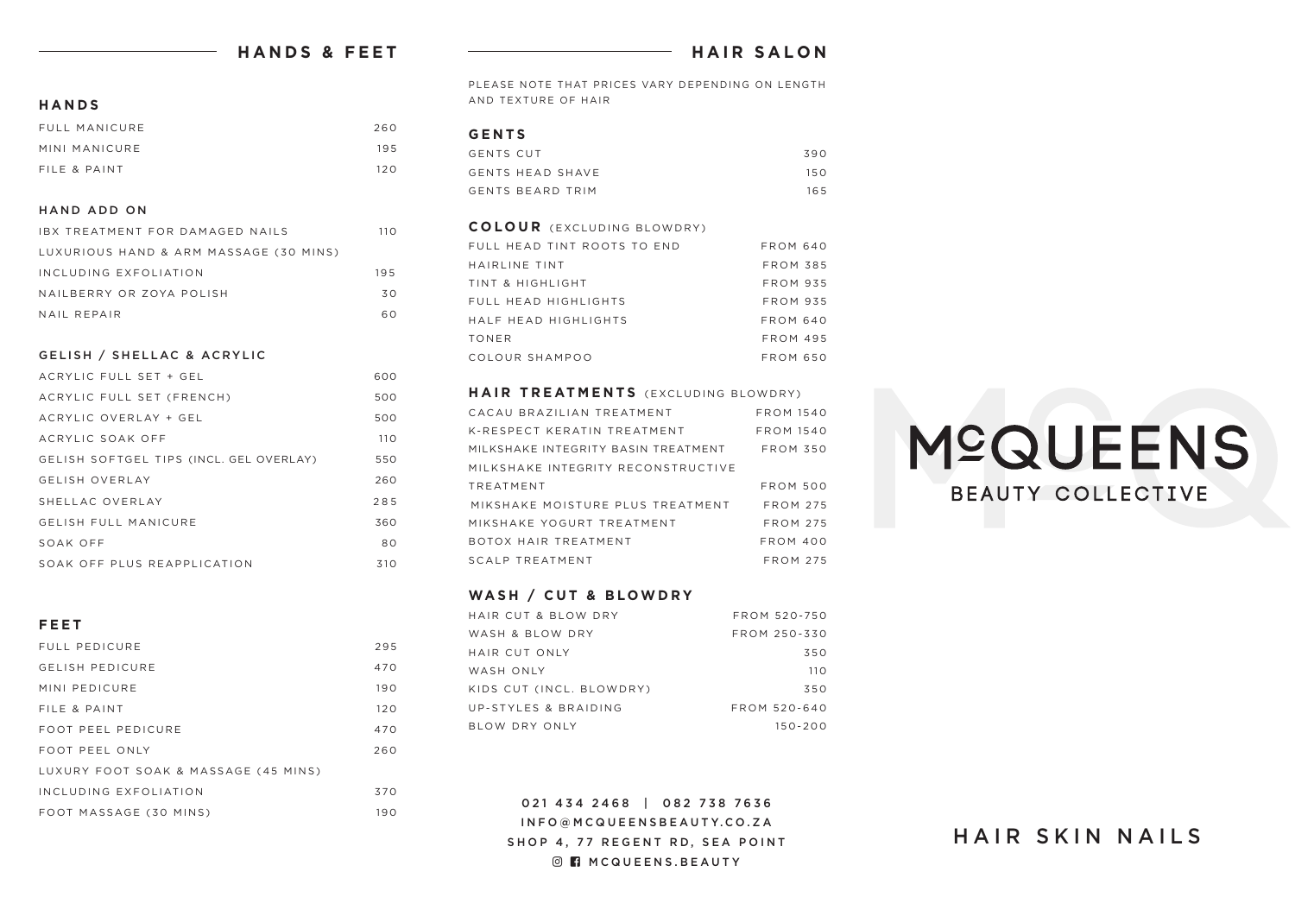## **HANDS & FEET**

## **HAIR SALON**

**HANDS**

| FULL MANICURE | 260 |
|---------------|-----|
| MINI MANICURE | 195 |
| FILE & PAINT  | 120 |

#### HAND ADD ON

| IBX TREATMENT FOR DAMAGED NAILS        | 11 O |
|----------------------------------------|------|
| LUXURIOUS HAND & ARM MASSAGE (30 MINS) |      |
| INCLUDING EXFOLIATION                  | 195  |
| NAILBERRY OR ZOYA POLISH               | 30.  |
| NAIL REPAIR                            | 60   |

#### GELISH / SHELLAC & ACRYLIC

| ACRYLIC FULL SET + GEL                  | 600 |
|-----------------------------------------|-----|
| ACRYLIC FULL SET (FRENCH)               | 500 |
| ACRYLIC OVERLAY + GEL                   | 500 |
| ACRYLIC SOAK OFF                        | 110 |
| GELISH SOFTGEL TIPS (INCL. GEL OVERLAY) | 550 |
| <b>GELISH OVERLAY</b>                   | 260 |
| SHELLAC OVERLAY                         | 285 |
| <b>GELISH FULL MANICURE</b>             | 360 |
| SOAK OFF                                | 80  |
| SOAK OFF PLUS REAPPLICATION             | 310 |

#### **FEET**

| FULL PEDICURE                        | 295 |
|--------------------------------------|-----|
| <b>GELISH PEDICURE</b>               | 470 |
| MINI PEDICURE                        | 190 |
| FILE & PAINT                         | 120 |
| FOOT PEEL PEDICURE                   | 470 |
| FOOT PEEL ONLY                       | 260 |
| LUXURY FOOT SOAK & MASSAGE (45 MINS) |     |
| INCLUDING EXFOLIATION                | 370 |
| FOOT MASSAGE (30 MINS)               | 190 |

PLEASE NOTE THAT PRICES VARY DEPENDING ON LENGTH AND TEXTURE OF HAIR

#### **GENTS**

| GENTS CUT        | 390 |
|------------------|-----|
| GENTS HEAD SHAVE | 150 |
| GENTS BEARD TRIM | 165 |

| <b>COLOUR</b> (EXCLUDING BLOWDRY) |                 |
|-----------------------------------|-----------------|
| FULL HEAD TINT ROOTS TO END       | <b>FROM 640</b> |
| HAIRLINE TINT                     | <b>FROM 385</b> |
| TINT & HIGHLIGHT                  | <b>FROM 935</b> |
| FULL HEAD HIGHLIGHTS              | <b>FROM 935</b> |
| HAIF HEAD HIGHLIGHTS              | FROM 640        |
| <b>TONER</b>                      | <b>FROM 495</b> |
| COLOUR SHAMPOO                    | FROM 650        |

#### **HAIR TREATMENTS** (EXCLUDING BLOWDRY)

| CACAU BRAZILIAN TREATMENT           | <b>FROM 1540</b> |
|-------------------------------------|------------------|
| K-RESPECT KERATIN TREATMENT         | <b>FROM 1540</b> |
| MILKSHAKE INTEGRITY BASIN TREATMENT | <b>FROM 350</b>  |
| MILKSHAKE INTEGRITY RECONSTRUCTIVE  |                  |
| TREATMENT                           | <b>FROM 500</b>  |
| MIKSHAKE MOISTURE PLUS TREATMENT    | <b>FROM 275</b>  |
| MIKSHAKE YOGURT TREATMENT           | $FROM$ 275       |
| ROTOX HAIR TREATMENT                | FROM 400         |
| SCALP TREATMENT                     | <b>FROM 275</b>  |

#### **WASH / CUT & BLOWDRY**

| HAIR CUT & BLOW DRY      | FROM 520-750 |
|--------------------------|--------------|
| WASH & BLOW DRY          | FROM 250-330 |
| HAIR CUT ONLY            | 350          |
| WASH ONLY                | 110          |
| KIDS CUT (INCL. BLOWDRY) | 350          |
| UP-STYLES & BRAIDING     | FROM 520-640 |
| BLOW DRY ONLY            | $150 - 200$  |

021 434 2468 | 082 738 7636 INFO@MCQUEENSBEAUTY.CO.ZA SHOP 4, 77 REGENT RD, SEA POINT **O n** MCQUEENS. BEAUTY

# **MºQUEENS BEAUTY COLLECTIVE**

## HAIR SKIN NAILS